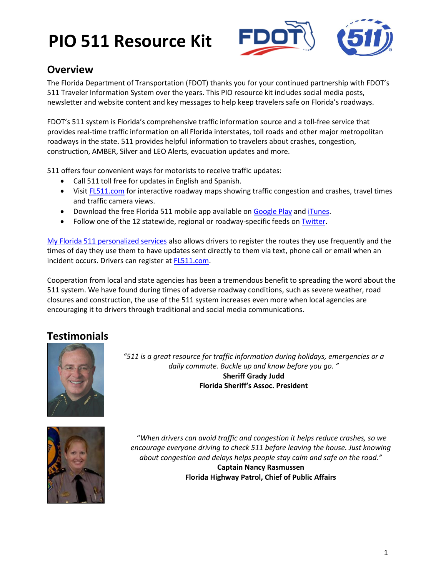

## **Overview**

The Florida Department of Transportation (FDOT) thanks you for your continued partnership with FDOT's 511 Traveler Information System over the years. This PIO resource kit includes social media posts, newsletter and website content and key messages to help keep travelers safe on Florida's roadways.

FDOT's 511 system is Florida's comprehensive traffic information source and a toll-free service that provides real-time traffic information on all Florida interstates, toll roads and other major metropolitan roadways in the state. 511 provides helpful information to travelers about crashes, congestion, construction, AMBER, Silver and LEO Alerts, evacuation updates and more.

511 offers four convenient ways for motorists to receive traffic updates:

- Call 511 toll free for updates in English and Spanish.
- Visi[t FL511.com](http://www.fl511.com/) for interactive roadway maps showing traffic congestion and crashes, travel times and traffic camera views.
- **•** Download the free Florida 511 mobile app available on [Google Play](https://play.google.com/store/apps/details?id=com.LogicTree.app.Florida511) and [iTunes.](https://itunes.apple.com/us/app/florida-511/id437092418?mt=8&ls=1)
- Follow one of the 12 statewide, regional or roadway-specific feeds on [Twitter.](http://www.fl511.com/Twitter.aspx)

[My Florida 511 personalized services](http://www.fl511.com/Login.aspx?ReturnUrl=%2fMy511%2fDefault.aspx) also allows drivers to register the routes they use frequently and the times of day they use them to have updates sent directly to them via text, phone call or email when an incident occurs. Drivers can register at **FL511.com**.

Cooperation from local and state agencies has been a tremendous benefit to spreading the word about the 511 system. We have found during times of adverse roadway conditions, such as severe weather, road closures and construction, the use of the 511 system increases even more when local agencies are encouraging it to drivers through traditional and social media communications.

## **Testimonials**



*"511 is a great resource for traffic information during holidays, emergencies or a daily commute. Buckle up and know before you go. "* **Sheriff Grady Judd Florida Sheriff's Assoc. President**



"*When drivers can avoid traffic and congestion it helps reduce crashes, so we encourage everyone driving to check 511 before leaving the house. Just knowing about congestion and delays helps people stay calm and safe on the road."* **Captain Nancy Rasmussen Florida Highway Patrol, Chief of Public Affairs**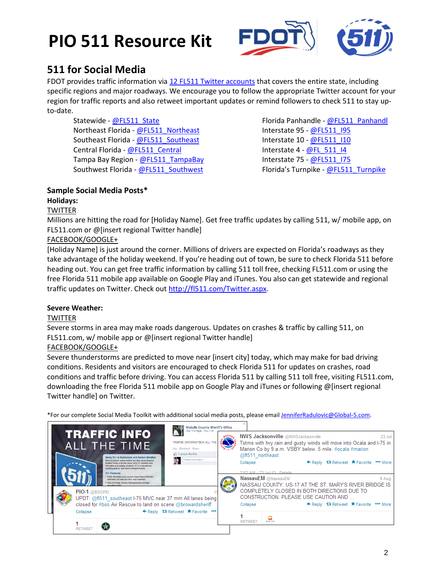

## **511 for Social Media**

FDOT provides traffic information vi[a 12 FL511 Twitter accounts](http://www.fl511.com/Twitter.aspx) that covers the entire state, including specific regions and major roadways. We encourage you to follow the appropriate Twitter account for your region for traffic reports and also retweet important updates or remind followers to check 511 to stay upto-date.

Statewide - [@FL511\\_State](https://twitter.com/FL511_state) Northeast Florida - [@FL511\\_Northeast](https://twitter.com/FL511_northeast) Southeast Florida - [@FL511\\_Southeast](https://twitter.com/FL511_southeast) Central Florida - [@FL511\\_Central](https://twitter.com/FL511_central) Tampa Bay Region - [@FL511\\_TampaBay](https://twitter.com/FL511_tampabay) Southwest Florida - [@FL511\\_Southwest](https://twitter.com/FL511_southwest)

Florida Panhandle - [@FL511\\_Panhandl](https://twitter.com/FL511_panhandl) Interstate 95 - [@FL511\\_I95](https://twitter.com/FL511_i95) Interstate 10 - [@FL511\\_I10](https://twitter.com/FL511_i10) Interstate  $4 - \omega F L$  511 I4 Interstate 75 - [@FL511\\_I75](https://twitter.com/FL511_i75) Florida's Turnpike - [@FL511\\_Turnpike](https://twitter.com/FL511_turnpike)

## **Sample Social Media Posts\***

### **Holidays:**

#### **TWITTER**

Millions are hitting the road for [Holiday Name]. Get free traffic updates by calling 511, w/ mobile app, on FL511.com or @[insert regional Twitter handle]

#### FACEBOOK/GOOGLE+

[Holiday Name] is just around the corner. Millions of drivers are expected on Florida's roadways as they take advantage of the holiday weekend. If you're heading out of town, be sure to check Florida 511 before heading out. You can get free traffic information by calling 511 toll free, checking FL511.com or using the free Florida 511 mobile app available on Google Play and iTunes. You also can get statewide and regional traffic updates on Twitter. Check out [http://fl511.com/Twitter.aspx.](http://fl511.com/Twitter.aspx)

#### **Severe Weather:**

#### **TWITTER**

Severe storms in area may make roads dangerous. Updates on crashes & traffic by calling 511, on FL511.com, w/ mobile app or @[insert regional Twitter handle]

#### FACEBOOK/GOOGLE+

Severe thunderstorms are predicted to move near [insert city] today, which may make for bad driving conditions. Residents and visitors are encouraged to check Florida 511 for updates on crashes, road conditions and traffic before driving. You can access Florida 511 by calling 511 toll free, visiting FL511.com, downloading the free Florida 511 mobile app on Google Play and iTunes or following @[insert regional Twitter handle] on Twitter.

\*For our complete Social Media Toolkit with additional social media posts, please emai[l JenniferRadulovic@Global-5.com.](mailto:JenniferRadulovic@Global-5.com)

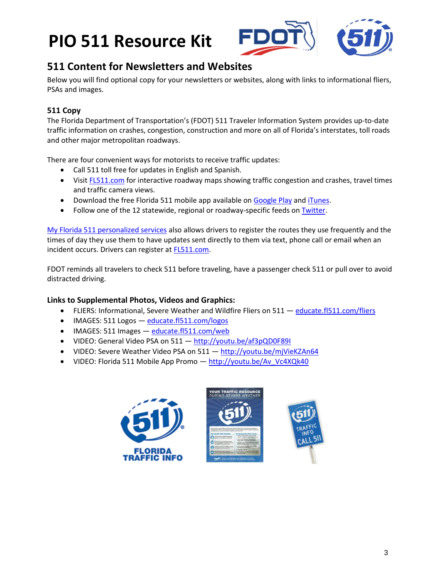



### **511 Content for Newsletters and Websites**

Below you will find optional copy for your newsletters or websites, along with links to informational fliers, PSAs and images.

### **511 Copy**

The Florida Department of Transportation's (FDOT) 511 Traveler Information System provides up-to-date traffic information on crashes, congestion, construction and more on all of Florida's interstates, toll roads and other major metropolitan roadways.

There are four convenient ways for motorists to receive traffic updates:

- Call 511 toll free for updates in English and Spanish.
- Visi[t FL511.com](http://www.fl511.com/) for interactive roadway maps showing traffic congestion and crashes, travel times and traffic camera views.
- Download the free Florida 511 mobile app available on [Google Play](https://play.google.com/store/apps/details?id=com.LogicTree.app.Florida511) and [iTunes.](https://itunes.apple.com/us/app/florida-511/id437092418?mt=8&ls=1)
- Follow one of the 12 statewide, regional or roadway-specific feeds on [Twitter.](http://www.fl511.com/Twitter.aspx)

[My Florida 511 personalized services](http://www.fl511.com/Login.aspx?ReturnUrl=%2fMy511%2fDefault.aspx) also allows drivers to register the routes they use frequently and the times of day they use them to have updates sent directly to them via text, phone call or email when an incident occurs. Drivers can register a[t FL511.com.](http://www.fl511.com/Login.aspx?ReturnUrl=%2fMy511%2fDefault.aspx)

FDOT reminds all travelers to check 511 before traveling, have a passenger check 511 or pull over to avoid distracted driving.

#### **Links to Supplemental Photos, Videos and Graphics:**

- FLIERS: Informational, Severe Weather and Wildfire Fliers on 511 [educate.fl511.com/fliers](http://educate.fl511.com/flyers)
- IMAGES: 511 Logos [educate.fl511.com/logos](http://educate.fl511.com/logos)
- IMAGES: 511 Images [educate.fl511.com/web](http://educate.fl511.com/web)
- VIDEO: General Video PSA on 511 <http://youtu.be/af3pQD0F89I>
- VIDEO: Severe Weather Video PSA on 511 <http://youtu.be/mjVieKZAn64>
- VIDEO: Florida 511 Mobile App Promo [http://youtu.be/Av\\_Vc4XQk40](http://youtu.be/Av_Vc4XQk40)